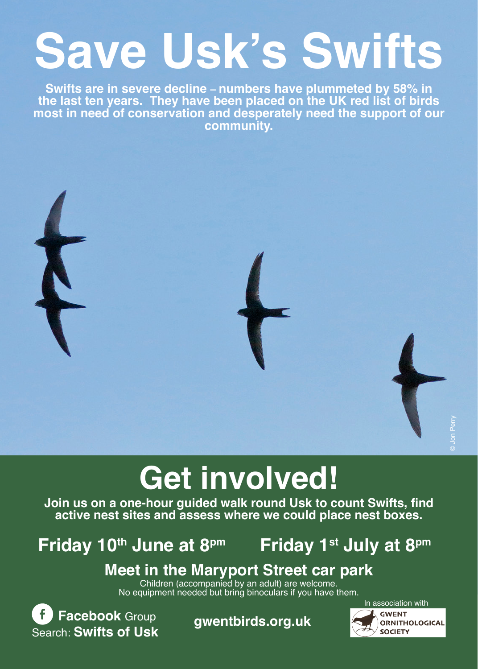# **Save Usk's Swifts**

**Swifts are in severe decline – numbers have plummeted by 58% in the last ten years. They have been placed on the UK red list of birds most in need of conservation and desperately need the support of our community.**



## **Get involved!**

**Join us on a one-hour guided walk round Usk to count Swifts, find active nest sites and assess where we could place nest boxes.**

**Friday 10th June at 8pm Friday 1st July at 8pm** 

### **Meet in the Maryport Street car park**<br>Children (accompanied by an adult) are welcome.

No equipment needed but bring binoculars if you have them.

**f** Facebook Group **gwentbirds.org.uk** Search: **Swifts of Usk**

In association with